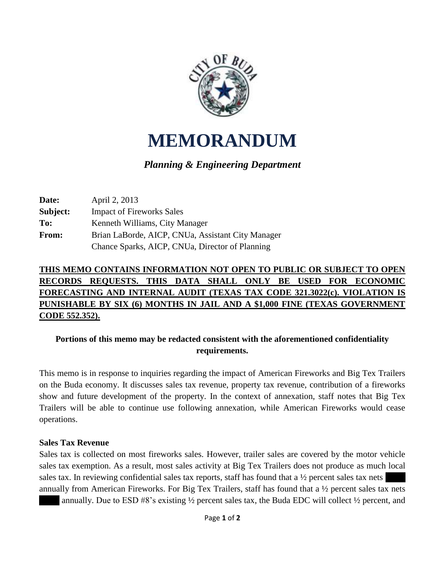

# **MEMORANDUM**

# *Planning & Engineering Department*

| Date:    | April 2, 2013                                     |
|----------|---------------------------------------------------|
| Subject: | <b>Impact of Fireworks Sales</b>                  |
| To:      | Kenneth Williams, City Manager                    |
| From:    | Brian LaBorde, AICP, CNUa, Assistant City Manager |
|          | Chance Sparks, AICP, CNUa, Director of Planning   |

# **THIS MEMO CONTAINS INFORMATION NOT OPEN TO PUBLIC OR SUBJECT TO OPEN RECORDS REQUESTS. THIS DATA SHALL ONLY BE USED FOR ECONOMIC FORECASTING AND INTERNAL AUDIT (TEXAS TAX CODE 321.3022(c). VIOLATION IS PUNISHABLE BY SIX (6) MONTHS IN JAIL AND A \$1,000 FINE (TEXAS GOVERNMENT CODE 552.352).**

# **Portions of this memo may be redacted consistent with the aforementioned confidentiality requirements.**

This memo is in response to inquiries regarding the impact of American Fireworks and Big Tex Trailers on the Buda economy. It discusses sales tax revenue, property tax revenue, contribution of a fireworks show and future development of the property. In the context of annexation, staff notes that Big Tex Trailers will be able to continue use following annexation, while American Fireworks would cease operations.

#### **Sales Tax Revenue**

Sales tax is collected on most fireworks sales. However, trailer sales are covered by the motor vehicle sales tax exemption. As a result, most sales activity at Big Tex Trailers does not produce as much local sales tax. In reviewing confidential sales tax reports, staff has found that a  $\frac{1}{2}$  percent sales tax nets annually from American Fireworks. For Big Tex Trailers, staff has found that a ½ percent sales tax nets

annually. Due to ESD #8's existing  $\frac{1}{2}$  percent sales tax, the Buda EDC will collect  $\frac{1}{2}$  percent, and